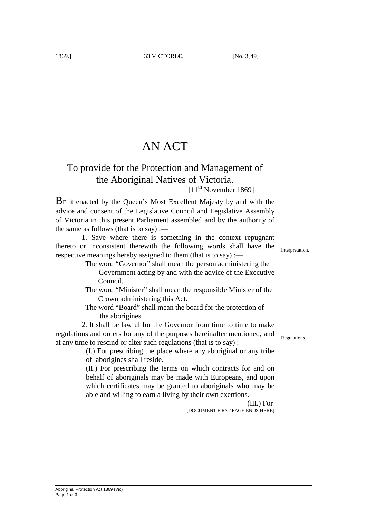## AN ACT

## To provide for the Protection and Management of the Aboriginal Natives of Victoria.

 $[11<sup>th</sup> November 1869]$ 

BE it enacted by the Queen's Most Excellent Majesty by and with the advice and consent of the Legislative Council and Legislative Assembly of Victoria in this present Parliament assembled and by the authority of the same as follows (that is to say) :—

 1. Save where there is something in the context repugnant thereto or inconsistent therewith the following words shall have the respective meanings hereby assigned to them (that is to say) :—

> The word "Governor" shall mean the person administering the Government acting by and with the advice of the Executive Council.

- The word "Minister" shall mean the responsible Minister of the Crown administering this Act.
- The word "Board" shall mean the board for the protection of the aborigines.

2. It shall be lawful for the Governor from time to time to make regulations and orders for any of the purposes hereinafter mentioned, and at any time to rescind or alter such regulations (that is to say) :—

> (I.) For prescribing the place where any aboriginal or any tribe of aborigines shall reside.

> (II.) For prescribing the terms on which contracts for and on behalf of aboriginals may be made with Europeans, and upon which certificates may be granted to aboriginals who may be able and willing to earn a living by their own exertions.

> > (III.) For [DOCUMENT FIRST PAGE ENDS HERE]

Interpretation.

Regulations.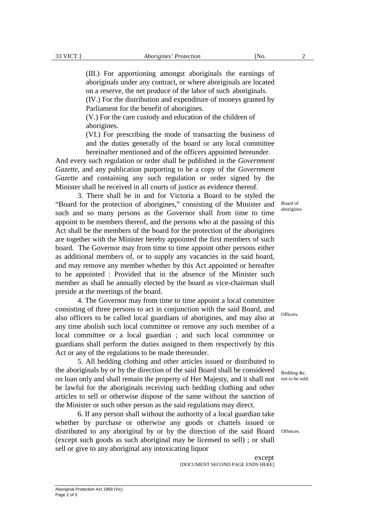(III.) For apportioning amongst aboriginals the earnings of aboriginals under any contract, or where aboriginals are located on a reserve, the net produce of the labor of such aboriginals. (IV.) For the distribution and expenditure of moneys granted by Parliament for the benefit of aborigines.

(V.) For the care custody and education of the children of aborigines.

(VI.) For prescribing the mode of transacting the business of and the duties generally of the board or any local committee hereinafter mentioned and of the officers appointed hereunder.

And every such regulation or order shall be published in the *Government Gazette*, and any publication purporting to be a copy of the *Government Gazette* and containing any such regulation or order signed by the Minister shall be received in all courts of justice as evidence thereof.

3. There shall be in and for Victoria a Board to be styled the "Board for the protection of aborigines," consisting of the Minister and such and so many persons as the Governor shall from time to time appoint to be members thereof, and the persons who at the passing of this Act shall be the members of the board for the protection of the aborigines are together with the Minister hereby appointed the first members of such board. The Governor may from time to time appoint other persons either as additional members of, or to supply any vacancies in the said board, and may remove any member whether by this Act appointed or hereafter to be appointed : Provided that in the absence of the Minister such member as shall be annually elected by the board as vice-chairman shall preside at the meetings of the board.

4. The Governor may from time to time appoint a local committee consisting of three persons to act in conjunction with the said Board, and also officers to be called local guardians of aborigines, and may also at any time abolish such local committee or remove any such member of a local committee or a local guardian ; and such local committee or guardians shall perform the duties assigned to them respectively by this Act or any of the regulations to be made thereunder.

5. All bedding clothing and other articles issued or distributed to the aboriginals by or by the direction of the said Board shall be considered on loan only and shall remain the property of Her Majesty, and it shall not not to be sold. be lawful for the aboriginals receiving such bedding clothing and other articles to sell or otherwise dispose of the same without the sanction of the Minister or such other person as the said regulations may direct.

6. If any person shall without the authority of a local guardian take whether by purchase or otherwise any goods or chattels issued or distributed to any aboriginal by or by the direction of the said Board Offences.(except such goods as such aboriginal may be licensed to sell) ; or shall sell or give to any aboriginal any intoxicating liquor

> except [DOCUMENT SECOND PAGE ENDS HERE]

Board of aborigines

Officers.

Bedding &c.